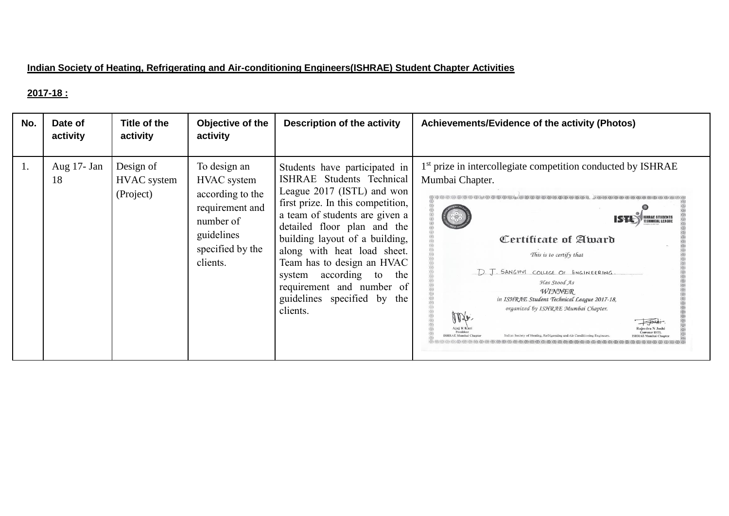### **Indian Society of Heating, Refrigerating and Air-conditioning Engineers(ISHRAE) Student Chapter Activities**

#### **2017-18 :**

| No. | Date of<br>activity | Title of the<br>activity                     | Objective of the<br>activity                                                                                                  | Description of the activity                                                                                                                                                                                                                                                                                                                                                                            | Achievements/Evidence of the activity (Photos)                                                                                                                                                                                                                                                                                    |
|-----|---------------------|----------------------------------------------|-------------------------------------------------------------------------------------------------------------------------------|--------------------------------------------------------------------------------------------------------------------------------------------------------------------------------------------------------------------------------------------------------------------------------------------------------------------------------------------------------------------------------------------------------|-----------------------------------------------------------------------------------------------------------------------------------------------------------------------------------------------------------------------------------------------------------------------------------------------------------------------------------|
| 1.  | Aug 17- Jan<br>18   | Design of<br><b>HVAC</b> system<br>(Project) | To design an<br>HVAC system<br>according to the<br>requirement and<br>number of<br>guidelines<br>specified by the<br>clients. | Students have participated in<br>ISHRAE Students Technical<br>League 2017 (ISTL) and won<br>first prize. In this competition,<br>a team of students are given a<br>detailed floor plan and the<br>building layout of a building,<br>along with heat load sheet.<br>Team has to design an HVAC<br>according to the<br>system<br>requirement and number of<br>guidelines specified by<br>the<br>clients. | 1 <sup>st</sup> prize in intercollegiate competition conducted by ISHRAE<br>Mumbai Chapter.<br>Certificate of Award<br>This is to certify that<br>D. J. SANGHYL COLLEGE OF ENGINEERING.<br>Has Stood As<br>WINNER<br>in ISHRAE Student Technical League 2017-18,<br>organized by ISHRAE Mumbai Chapter.<br>Anje.<br>$\rightarrow$ |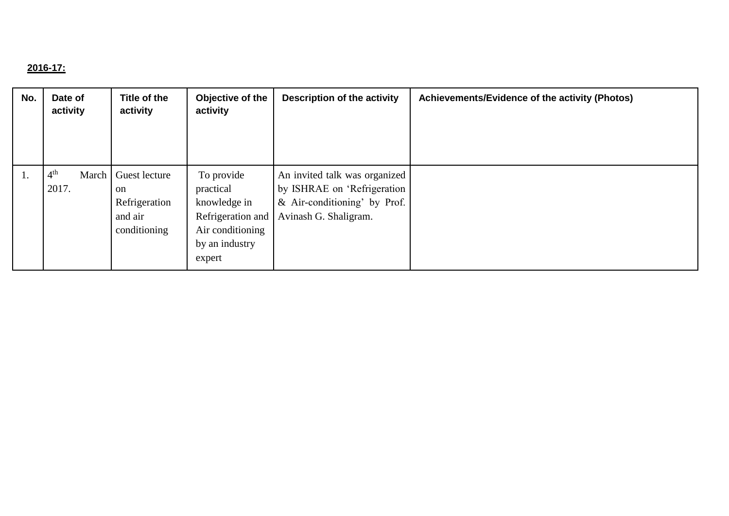# **2016-17:**

| No. | Date of<br>activity                 | Title of the<br>activity                                        | Objective of the<br>activity                                                                                 | <b>Description of the activity</b>                                                                                    | Achievements/Evidence of the activity (Photos) |
|-----|-------------------------------------|-----------------------------------------------------------------|--------------------------------------------------------------------------------------------------------------|-----------------------------------------------------------------------------------------------------------------------|------------------------------------------------|
| 1.  | 4 <sup>th</sup><br>March  <br>2017. | Guest lecture<br>on<br>Refrigeration<br>and air<br>conditioning | To provide<br>practical<br>knowledge in<br>Refrigeration and<br>Air conditioning<br>by an industry<br>expert | An invited talk was organized<br>by ISHRAE on 'Refrigeration<br>& Air-conditioning' by Prof.<br>Avinash G. Shaligram. |                                                |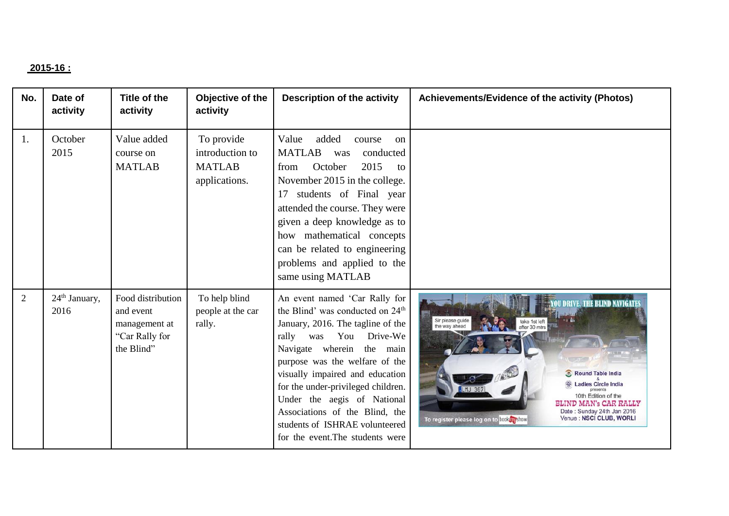### **2015-16 :**

| No.            | Date of<br>activity               | <b>Title of the</b><br>activity                                                 | Objective of the<br>activity                                    | <b>Description of the activity</b>                                                                                                                                                                                                                                                                                                                                                                                                | Achievements/Evidence of the activity (Photos)                                                                                                                                                                                                                                                                                     |
|----------------|-----------------------------------|---------------------------------------------------------------------------------|-----------------------------------------------------------------|-----------------------------------------------------------------------------------------------------------------------------------------------------------------------------------------------------------------------------------------------------------------------------------------------------------------------------------------------------------------------------------------------------------------------------------|------------------------------------------------------------------------------------------------------------------------------------------------------------------------------------------------------------------------------------------------------------------------------------------------------------------------------------|
| 1.             | October<br>2015                   | Value added<br>course on<br><b>MATLAB</b>                                       | To provide<br>introduction to<br><b>MATLAB</b><br>applications. | added<br>Value<br>course<br><sub>on</sub><br><b>MATLAB</b><br>conducted<br>was<br>2015<br>October<br>from<br>to<br>November 2015 in the college.<br>students of Final year<br>17<br>attended the course. They were<br>given a deep knowledge as to<br>how mathematical concepts<br>can be related to engineering<br>problems and applied to the<br>same using MATLAB                                                              |                                                                                                                                                                                                                                                                                                                                    |
| $\overline{2}$ | 24 <sup>th</sup> January,<br>2016 | Food distribution<br>and event<br>management at<br>"Car Rally for<br>the Blind" | To help blind<br>people at the car<br>rally.                    | An event named 'Car Rally for<br>the Blind' was conducted on 24 <sup>th</sup><br>January, 2016. The tagline of the<br>You<br>Drive-We<br>rally was<br>Navigate wherein the main<br>purpose was the welfare of the<br>visually impaired and education<br>for the under-privileged children.<br>Under the aegis of National<br>Associations of the Blind, the<br>students of ISHRAE volunteered<br>for the event. The students were | <b><i>TOU DRIVE, THE BLIND NAVIGATE</i></b><br>Sir please guide<br>take 1st left<br>the way ahead<br>after 30 mtrs<br>Round Table India<br><b>Ladies Circle India</b><br>10th Edition of the<br><b>BLIND MAN's CAR RALLY</b><br>Date: Sunday 24th Jan 2016<br>Venue : NSCI CLUB, WORLI<br>To register please log on to book myshow |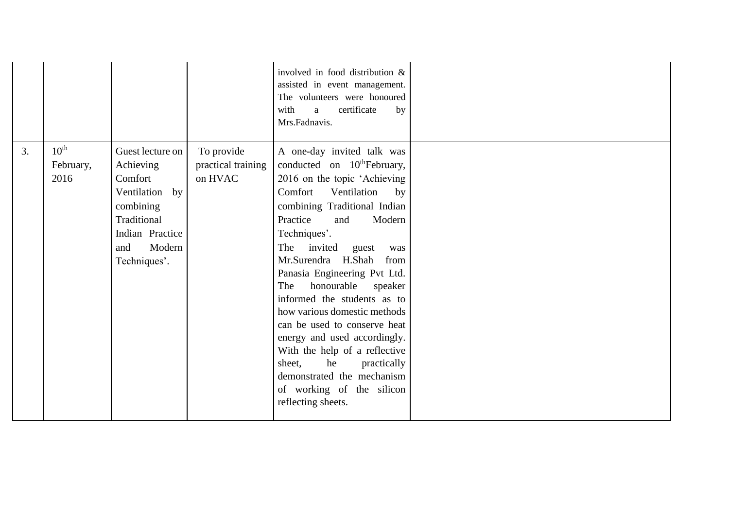|    |                                       |                                                                                                                                            |                                             | involved in food distribution &<br>assisted in event management.<br>The volunteers were honoured<br>certificate<br>with<br>by<br>a<br>Mrs.Fadnavis.                                                                                                                                                                                                                                                                                                                                                                                                                                                                       |  |
|----|---------------------------------------|--------------------------------------------------------------------------------------------------------------------------------------------|---------------------------------------------|---------------------------------------------------------------------------------------------------------------------------------------------------------------------------------------------------------------------------------------------------------------------------------------------------------------------------------------------------------------------------------------------------------------------------------------------------------------------------------------------------------------------------------------------------------------------------------------------------------------------------|--|
| 3. | $10^{\text{th}}$<br>February,<br>2016 | Guest lecture on<br>Achieving<br>Comfort<br>Ventilation by<br>combining<br>Traditional<br>Indian Practice<br>Modern<br>and<br>Techniques'. | To provide<br>practical training<br>on HVAC | A one-day invited talk was<br>conducted on 10 <sup>th</sup> February,<br>2016 on the topic 'Achieving<br>Comfort<br>Ventilation<br>by<br>combining Traditional Indian<br>Practice<br>and<br>Modern<br>Techniques'.<br>The invited guest<br>was<br>Mr.Surendra H.Shah<br>from<br>Panasia Engineering Pvt Ltd.<br>honourable speaker<br>The<br>informed the students as to<br>how various domestic methods<br>can be used to conserve heat<br>energy and used accordingly.<br>With the help of a reflective<br>sheet,<br>he<br>practically<br>demonstrated the mechanism<br>of working of the silicon<br>reflecting sheets. |  |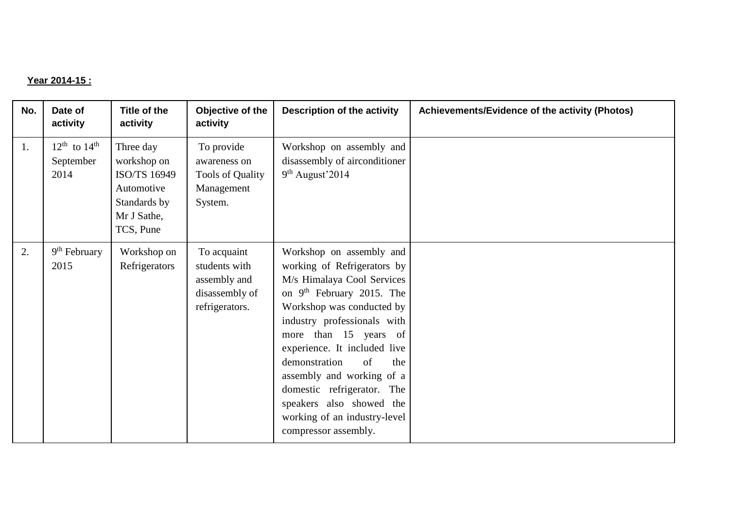#### **Year 2014-15 :**

| No. | Date of<br>activity                                       | Title of the<br>activity                                                                           | Objective of the<br>activity                                                     | Description of the activity                                                                                                                                                                                                                                                                                                                                                                                                      | Achievements/Evidence of the activity (Photos) |
|-----|-----------------------------------------------------------|----------------------------------------------------------------------------------------------------|----------------------------------------------------------------------------------|----------------------------------------------------------------------------------------------------------------------------------------------------------------------------------------------------------------------------------------------------------------------------------------------------------------------------------------------------------------------------------------------------------------------------------|------------------------------------------------|
| 1.  | $12^{\text{th}}$ to $14^{\text{th}}$<br>September<br>2014 | Three day<br>workshop on<br>ISO/TS 16949<br>Automotive<br>Standards by<br>Mr J Sathe,<br>TCS, Pune | To provide<br>awareness on<br>Tools of Quality<br>Management<br>System.          | Workshop on assembly and<br>disassembly of airconditioner<br>$9th$ August'2014                                                                                                                                                                                                                                                                                                                                                   |                                                |
| 2.  | $9th$ February<br>2015                                    | Workshop on<br>Refrigerators                                                                       | To acquaint<br>students with<br>assembly and<br>disassembly of<br>refrigerators. | Workshop on assembly and<br>working of Refrigerators by<br>M/s Himalaya Cool Services<br>on 9 <sup>th</sup> February 2015. The<br>Workshop was conducted by<br>industry professionals with<br>more than 15 years of<br>experience. It included live<br>demonstration<br>of<br>the<br>assembly and working of a<br>domestic refrigerator. The<br>speakers also showed the<br>working of an industry-level<br>compressor assembly. |                                                |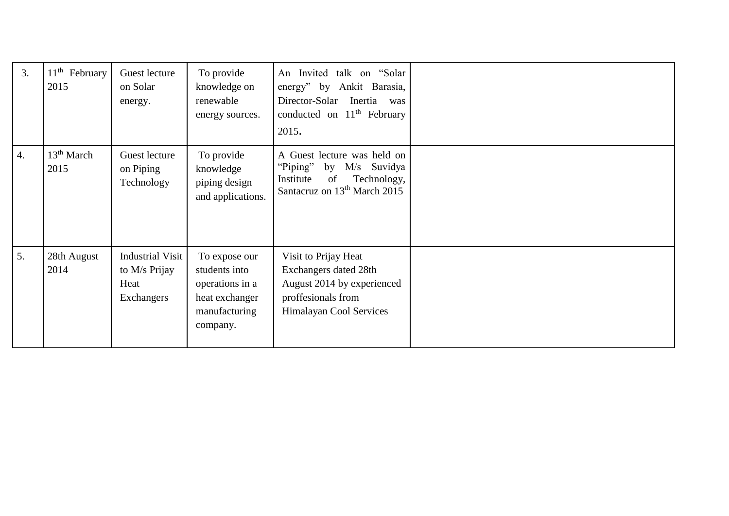| 3.               | $11^{\text{th}}$<br>February<br>2015 | Guest lecture<br>on Solar<br>energy.                           | To provide<br>knowledge on<br>renewable<br>energy sources.                                       | An Invited talk on "Solar<br>energy" by Ankit Barasia,<br>Director-Solar Inertia was<br>conducted on $11th$ February<br>2015.           |  |
|------------------|--------------------------------------|----------------------------------------------------------------|--------------------------------------------------------------------------------------------------|-----------------------------------------------------------------------------------------------------------------------------------------|--|
| $\overline{4}$ . | 13 <sup>th</sup> March<br>2015       | Guest lecture<br>on Piping<br>Technology                       | To provide<br>knowledge<br>piping design<br>and applications.                                    | A Guest lecture was held on<br>"Piping"<br>by M/s Suvidya<br>Technology,<br>Institute<br>of<br>Santacruz on 13 <sup>th</sup> March 2015 |  |
| 5.               | 28th August<br>2014                  | <b>Industrial Visit</b><br>to M/s Prijay<br>Heat<br>Exchangers | To expose our<br>students into<br>operations in a<br>heat exchanger<br>manufacturing<br>company. | Visit to Prijay Heat<br>Exchangers dated 28th<br>August 2014 by experienced<br>proffesionals from<br>Himalayan Cool Services            |  |